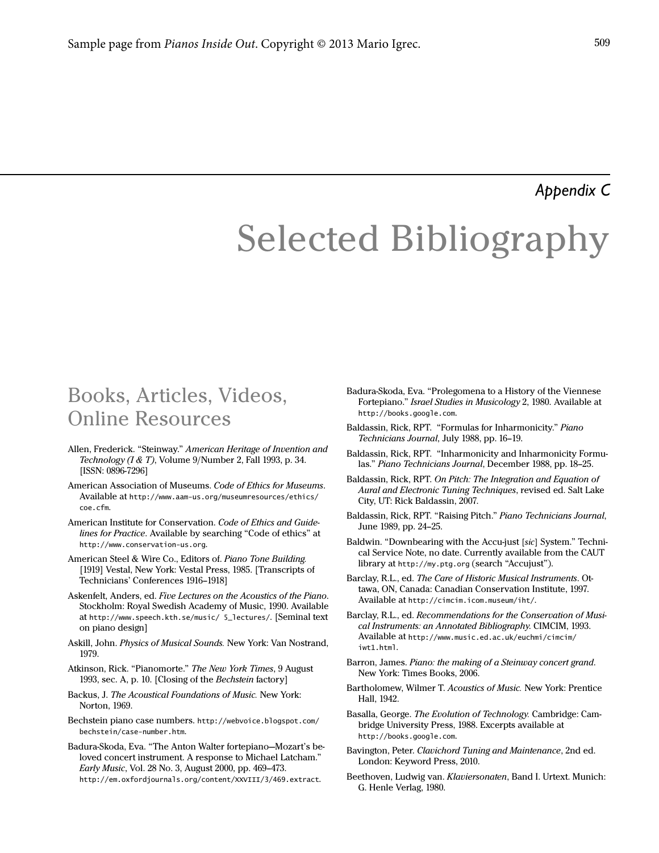#### *Appendix C*

# Selected Bibliography

### Books, Articles, Videos, Online Resources

- Allen, Frederick. "Steinway." American Heritage of Invention and Technology ( $I \& T$ ), Volume 9/Number 2, Fall 1993, p. 34. [ISSN: 0896-7296]
- American Association of Museums. Code of Ethics for Museums. Available at http://www.aam-us.org/museumresources/ethics/ coe.cfm.
- American Institute for Conservation. Code of Ethics and Guidelines for Practice. Available by searching "Code of ethics" at http://www.conservation-us.org.
- American Steel & Wire Co., Editors of. Piano Tone Building. [1919] Vestal, New York: Vestal Press, 1985. [Transcripts of Technicians' Conferences 1916–1918]
- Askenfelt, Anders, ed. Five Lectures on the Acoustics of the Piano. Stockholm: Royal Swedish Academy of Music, 1990. Available at http://www.speech.kth.se/music/ 5\_lectures/. [Seminal text on piano design]
- Askill, John. Physics of Musical Sounds. New York: Van Nostrand, 1979.
- Atkinson, Rick. "Pianomorte." The New York Times, 9 August 1993, sec. A, p. 10. [Closing of the Bechstein factory]
- Backus, J. The Acoustical Foundations of Music. New York: Norton, 1969.
- Bechstein piano case numbers. http://webvoice.blogspot.com/ bechstein/case-number.htm.
- Badura-Skoda, Eva. "The Anton Walter fortepiano—Mozart's beloved concert instrument. A response to Michael Latcham." Early Music, Vol. 28 No. 3, August 2000, pp. 469–473. http://em.oxfordjournals.org/content/XXVIII/3/469.extract.
- Badura-Skoda, Eva. "Prolegomena to a History of the Viennese Fortepiano." Israel Studies in Musicology 2, 1980. Available at http://books.google.com.
- Baldassin, Rick, RPT. "Formulas for Inharmonicity." Piano Technicians Journal, July 1988, pp. 16–19.
- Baldassin, Rick, RPT. "Inharmonicity and Inharmonicity Formulas." Piano Technicians Journal, December 1988, pp. 18–25.
- Baldassin, Rick, RPT. On Pitch: The Integration and Equation of Aural and Electronic Tuning Techniques, revised ed. Salt Lake City, UT: Rick Baldassin, 2007.
- Baldassin, Rick, RPT. "Raising Pitch." Piano Technicians Journal, June 1989, pp. 24–25.
- Baldwin. "Downbearing with the Accu-just [sic] System." Technical Service Note, no date. Currently available from the CAUT library at http://my.ptg.org (search "Accujust").
- Barclay, R.L., ed. The Care of Historic Musical Instruments. Ottawa, ON, Canada: Canadian Conservation Institute, 1997. Available at http://cimcim.icom.museum/iht/.
- Barclay, R.L., ed. Recommendations for the Conservation of Musical Instruments: an Annotated Bibliography. CIMCIM, 1993. Available at http://www.music.ed.ac.uk/euchmi/cimcim/ iwt1.html.
- Barron, James. Piano: the making of a Steinway concert grand. New York: Times Books, 2006.
- Bartholomew, Wilmer T. Acoustics of Music. New York: Prentice Hall, 1942.
- Basalla, George. The Evolution of Technology. Cambridge: Cambridge University Press, 1988. Excerpts available at http://books.google.com.
- Bavington, Peter. Clavichord Tuning and Maintenance, 2nd ed. London: Keyword Press, 2010.
- Beethoven, Ludwig van. Klaviersonaten, Band I. Urtext. Munich: G. Henle Verlag, 1980.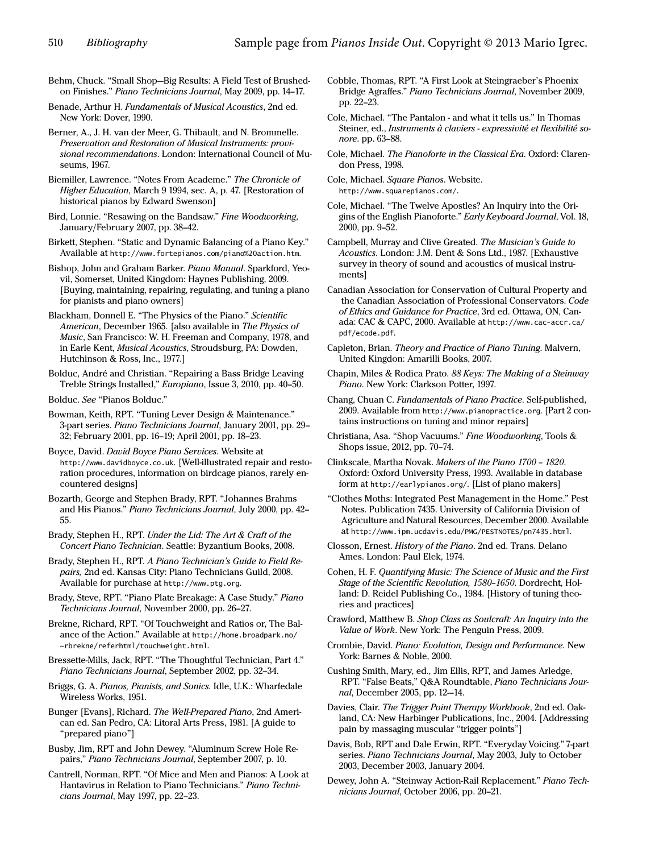- Behm, Chuck. "Small Shop—Big Results: A Field Test of Brushedon Finishes." Piano Technicians Journal, May 2009, pp. 14–17.
- Benade, Arthur H. Fundamentals of Musical Acoustics, 2nd ed. New York: Dover, 1990.
- Berner, A., J. H. van der Meer, G. Thibault, and N. Brommelle. Preservation and Restoration of Musical Instruments: provisional recommendations. London: International Council of Museums, 1967.
- Biemiller, Lawrence. "Notes From Academe." The Chronicle of Higher Education, March 9 1994, sec. A, p. 47. [Restoration of historical pianos by Edward Swenson]
- Bird, Lonnie. "Resawing on the Bandsaw." Fine Woodworking, January/February 2007, pp. 38–42.
- Birkett, Stephen. "Static and Dynamic Balancing of a Piano Key." Available at http://www.fortepianos.com/piano%20action.htm.
- Bishop, John and Graham Barker. Piano Manual. Sparkford, Yeovil, Somerset, United Kingdom: Haynes Publishing, 2009. [Buying, maintaining, repairing, regulating, and tuning a piano for pianists and piano owners]
- Blackham, Donnell E. "The Physics of the Piano." Scientific American, December 1965. [also available in The Physics of Music, San Francisco: W. H. Freeman and Company, 1978, and in Earle Kent, Musical Acoustics, Stroudsburg, PA: Dowden, Hutchinson & Ross, Inc., 1977.]
- Bolduc, André and Christian. "Repairing a Bass Bridge Leaving Treble Strings Installed," Europiano, Issue 3, 2010, pp. 40–50.
- Bolduc. See "Pianos Bolduc."
- Bowman, Keith, RPT. "Tuning Lever Design & Maintenance." 3-part series. Piano Technicians Journal, January 2001, pp. 29– 32; February 2001, pp. 16–19; April 2001, pp. 18–23.
- Boyce, David. David Boyce Piano Services. Website at http://www.davidboyce.co.uk. [Well-illustrated repair and restoration procedures, information on birdcage pianos, rarely encountered designs]
- Bozarth, George and Stephen Brady, RPT. "Johannes Brahms and His Pianos." Piano Technicians Journal, July 2000, pp. 42– 55.
- Brady, Stephen H., RPT. Under the Lid: The Art & Craft of the Concert Piano Technician. Seattle: Byzantium Books, 2008.
- Brady, Stephen H., RPT. A Piano Technician's Guide to Field Repairs, 2nd ed. Kansas City: Piano Technicians Guild, 2008. Available for purchase at http://www.ptg.org.
- Brady, Steve, RPT. "Piano Plate Breakage: A Case Study." Piano Technicians Journal, November 2000, pp. 26–27.
- Brekne, Richard, RPT. "Of Touchweight and Ratios or, The Balance of the Action." Available at http://home.broadpark.no/ ~rbrekne/referhtml/touchweight.html.
- Bressette-Mills, Jack, RPT. "The Thoughtful Technician, Part 4." Piano Technicians Journal, September 2002, pp. 32–34.
- Briggs, G. A. Pianos, Pianists, and Sonics. Idle, U.K.: Wharfedale Wireless Works, 1951.
- Bunger [Evans], Richard. The Well-Prepared Piano, 2nd American ed. San Pedro, CA: Litoral Arts Press, 1981. [A guide to "prepared piano"]
- Busby, Jim, RPT and John Dewey. "Aluminum Screw Hole Repairs," Piano Technicians Journal, September 2007, p. 10.
- Cantrell, Norman, RPT. "Of Mice and Men and Pianos: A Look at Hantavirus in Relation to Piano Technicians." Piano Technicians Journal, May 1997, pp. 22–23.
- Cobble, Thomas, RPT. "A First Look at Steingraeber's Phoenix Bridge Agraffes." Piano Technicians Journal, November 2009, pp. 22–23.
- Cole, Michael. "The Pantalon and what it tells us." In Thomas Steiner, ed., Instruments à claviers - expressivité et flexibilité sonore. pp. 63–88.
- Cole, Michael. The Pianoforte in the Classical Era. Oxford: Clarendon Press, 1998.
- Cole, Michael. Square Pianos. Website. http://www.squarepianos.com/.
- Cole, Michael. "The Twelve Apostles? An Inquiry into the Origins of the English Pianoforte." Early Keyboard Journal, Vol. 18, 2000, pp. 9–52.
- Campbell, Murray and Clive Greated. The Musician's Guide to Acoustics. London: J.M. Dent & Sons Ltd., 1987. [Exhaustive survey in theory of sound and acoustics of musical instruments]
- Canadian Association for Conservation of Cultural Property and the Canadian Association of Professional Conservators. Code of Ethics and Guidance for Practice, 3rd ed. Ottawa, ON, Canada: CAC & CAPC, 2000. Available at http://www.cac-accr.ca/ pdf/ecode.pdf.
- Capleton, Brian. Theory and Practice of Piano Tuning. Malvern, United Kingdon: Amarilli Books, 2007.
- Chapin, Miles & Rodica Prato. 88 Keys: The Making of a Steinway Piano. New York: Clarkson Potter, 1997.
- Chang, Chuan C. Fundamentals of Piano Practice. Self-published, 2009. Available from http://www.pianopractice.org. [Part 2 contains instructions on tuning and minor repairs]
- Christiana, Asa. "Shop Vacuums." Fine Woodworking, Tools & Shops issue, 2012, pp. 70–74.
- Clinkscale, Martha Novak. Makers of the Piano 1700 1820. Oxford: Oxford University Press, 1993. Available in database form at http://earlypianos.org/. [List of piano makers]
- "Clothes Moths: Integrated Pest Management in the Home." Pest Notes. Publication 7435. University of California Division of Agriculture and Natural Resources, December 2000. Available at http://www.ipm.ucdavis.edu/PMG/PESTNOTES/pn7435.html.
- Closson, Ernest. History of the Piano. 2nd ed. Trans. Delano Ames. London: Paul Elek, 1974.
- Cohen, H. F. Quantifying Music: The Science of Music and the First Stage of the Scientific Revolution, 1580–1650. Dordrecht, Holland: D. Reidel Publishing Co., 1984. [History of tuning theories and practices]
- Crawford, Matthew B. Shop Class as Soulcraft: An Inquiry into the Value of Work. New York: The Penguin Press, 2009.
- Crombie, David. Piano: Evolution, Design and Performance. New York: Barnes & Noble, 2000.
- Cushing Smith, Mary, ed., Jim Ellis, RPT, and James Arledge, RPT. "False Beats," Q&A Roundtable, Piano Technicians Journal, December 2005, pp. 12-–14.
- Davies, Clair. The Trigger Point Therapy Workbook, 2nd ed. Oakland, CA: New Harbinger Publications, Inc., 2004. [Addressing pain by massaging muscular "trigger points"]
- Davis, Bob, RPT and Dale Erwin, RPT. "Everyday Voicing." 7-part series. Piano Technicians Journal, May 2003, July to October 2003, December 2003, January 2004.
- Dewey, John A. "Steinway Action-Rail Replacement." Piano Technicians Journal, October 2006, pp. 20–21.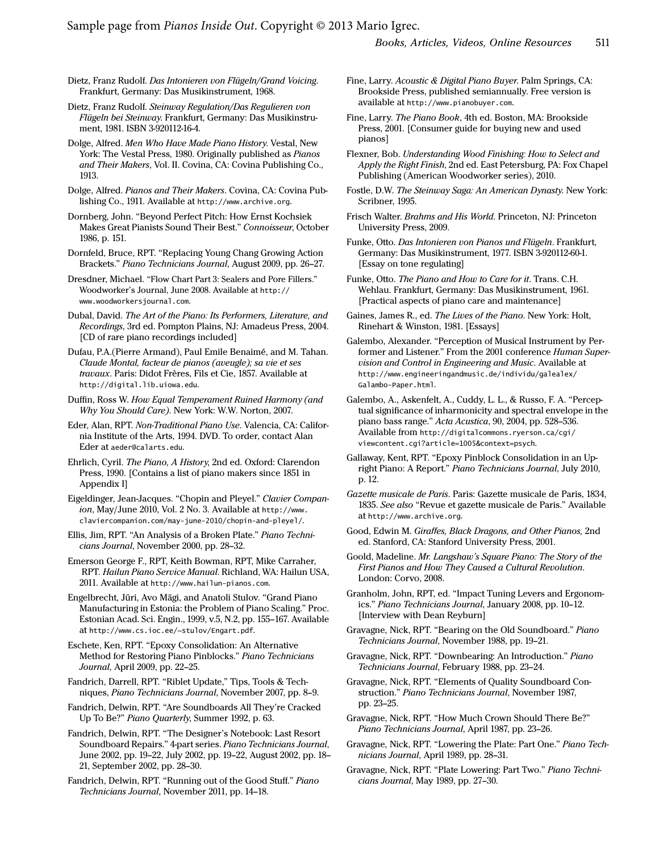Sample page from *Pianos Inside Out*. Copyright © 2013 Mario Igrec.

Dietz, Franz Rudolf. Das Intonieren von Flügeln/Grand Voicing. Frankfurt, Germany: Das Musikinstrument, 1968.

Dietz, Franz Rudolf. Steinway Regulation/Das Regulieren von Flügeln bei Steinway. Frankfurt, Germany: Das Musikinstrument, 1981. ISBN 3-920112-16-4.

Dolge, Alfred. Men Who Have Made Piano History. Vestal, New York: The Vestal Press, 1980. Originally published as Pianos and Their Makers, Vol. II. Covina, CA: Covina Publishing Co., 1913.

Dolge, Alfred. Pianos and Their Makers. Covina, CA: Covina Publishing Co., 1911. Available at http://www.archive.org.

Dornberg, John. "Beyond Perfect Pitch: How Ernst Kochsiek Makes Great Pianists Sound Their Best." Connoisseur, October 1986, p. 151.

Dornfeld, Bruce, RPT. "Replacing Young Chang Growing Action Brackets." Piano Technicians Journal, August 2009, pp. 26–27.

Dresdner, Michael. "Flow Chart Part 3: Sealers and Pore Fillers." Woodworker's Journal, June 2008. Available at http:// www.woodworkersjournal.com.

Dubal, David. The Art of the Piano: Its Performers, Literature, and Recordings, 3rd ed. Pompton Plains, NJ: Amadeus Press, 2004. [CD of rare piano recordings included]

Dufau, P.A.(Pierre Armand), Paul Emile Benaimé, and M. Tahan. Claude Montal, facteur de pianos (aveugle); sa vie et ses travaux. Paris: Didot Frères, Fils et Cie, 1857. Available at http://digital.lib.uiowa.edu.

Duffin, Ross W. How Equal Temperament Ruined Harmony (and Why You Should Care). New York: W.W. Norton, 2007.

Eder, Alan, RPT. Non-Traditional Piano Use. Valencia, CA: California Institute of the Arts, 1994. DVD. To order, contact Alan Eder at aeder@calarts.edu.

Ehrlich, Cyril. The Piano, A History, 2nd ed. Oxford: Clarendon Press, 1990. [Contains a list of piano makers since 1851 in Appendix I]

Eigeldinger, Jean-Jacques. "Chopin and Pleyel." Clavier Companion, May/June 2010, Vol. 2 No. 3. Available at http://www. claviercompanion.com/may-june-2010/chopin-and-pleyel/.

Ellis, Jim, RPT. "An Analysis of a Broken Plate." Piano Technicians Journal, November 2000, pp. 28–32.

Emerson George F., RPT, Keith Bowman, RPT, Mike Carraher, RPT. Hailun Piano Service Manual. Richland, WA: Hailun USA, 2011. Available at http://www.hailun-pianos.com.

Engelbrecht, Jüri, Avo Mägi, and Anatoli Stulov. "Grand Piano Manufacturing in Estonia: the Problem of Piano Scaling." Proc. Estonian Acad. Sci. Engin., 1999, v.5, N.2, pp. 155–167. Available at http://www.cs.ioc.ee/~stulov/Engart.pdf.

Eschete, Ken, RPT. "Epoxy Consolidation: An Alternative Method for Restoring Piano Pinblocks." Piano Technicians Journal, April 2009, pp. 22–25.

Fandrich, Darrell, RPT. "Riblet Update," Tips, Tools & Techniques, Piano Technicians Journal, November 2007, pp. 8–9.

Fandrich, Delwin, RPT. "Are Soundboards All They're Cracked Up To Be?" Piano Quarterly, Summer 1992, p. 63.

Fandrich, Delwin, RPT. "The Designer's Notebook: Last Resort Soundboard Repairs." 4-part series. Piano Technicians Journal, June 2002, pp. 19–22, July 2002, pp. 19–22, August 2002, pp. 18– 21, September 2002, pp. 28–30.

Fandrich, Delwin, RPT. "Running out of the Good Stuff." Piano Technicians Journal, November 2011, pp. 14–18.

Fine, Larry. Acoustic & Digital Piano Buyer. Palm Springs, CA: Brookside Press, published semiannually. Free version is available at http://www.pianobuyer.com.

Fine, Larry. The Piano Book, 4th ed. Boston, MA: Brookside Press, 2001. [Consumer guide for buying new and used pianos]

Flexner, Bob. Understanding Wood Finishing: How to Select and Apply the Right Finish, 2nd ed. East Petersburg, PA: Fox Chapel Publishing (American Woodworker series), 2010.

Fostle, D.W. The Steinway Saga: An American Dynasty. New York: Scribner, 1995.

Frisch Walter. Brahms and His World. Princeton, NJ: Princeton University Press, 2009.

Funke, Otto. Das Intonieren von Pianos und Flügeln. Frankfurt, Germany: Das Musikinstrument, 1977. ISBN 3-920112-60-1. [Essay on tone regulating]

Funke, Otto. The Piano and How to Care for it. Trans. C.H. Wehlau. Frankfurt, Germany: Das Musikinstrument, 1961. [Practical aspects of piano care and maintenance]

Gaines, James R., ed. The Lives of the Piano. New York: Holt, Rinehart & Winston, 1981. [Essays]

Galembo, Alexander. "Perception of Musical Instrument by Performer and Listener." From the 2001 conference Human Supervision and Control in Engineering and Music. Available at http://www.engineeringandmusic.de/individu/galealex/ Galambo-Paper.html.

Galembo, A., Askenfelt, A., Cuddy, L. L., & Russo, F. A. "Perceptual significance of inharmonicity and spectral envelope in the piano bass range." Acta Acustica, 90, 2004, pp. 528–536. Available from http://digitalcommons.ryerson.ca/cgi/ viewcontent.cgi?article=1005&context=psych.

Gallaway, Kent, RPT. "Epoxy Pinblock Consolidation in an Upright Piano: A Report." Piano Technicians Journal, July 2010, p. 12.

Gazette musicale de Paris. Paris: Gazette musicale de Paris, 1834, 1835. See also "Revue et gazette musicale de Paris." Available at http://www.archive.org.

Good, Edwin M. Giraffes, Black Dragons, and Other Pianos, 2nd ed. Stanford, CA: Stanford University Press, 2001.

Goold, Madeline. Mr. Langshaw's Square Piano: The Story of the First Pianos and How They Caused a Cultural Revolution. London: Corvo, 2008.

Granholm, John, RPT, ed. "Impact Tuning Levers and Ergonomics." Piano Technicians Journal, January 2008, pp. 10–12. [Interview with Dean Reyburn]

Gravagne, Nick, RPT. "Bearing on the Old Soundboard." Piano Technicians Journal, November 1988, pp. 19–21.

Gravagne, Nick, RPT. "Downbearing: An Introduction." Piano Technicians Journal, February 1988, pp. 23–24.

Gravagne, Nick, RPT. "Elements of Quality Soundboard Construction." Piano Technicians Journal, November 1987, pp. 23–25.

Gravagne, Nick, RPT. "How Much Crown Should There Be?" Piano Technicians Journal, April 1987, pp. 23–26.

Gravagne, Nick, RPT. "Lowering the Plate: Part One." Piano Technicians Journal, April 1989, pp. 28–31.

Gravagne, Nick, RPT. "Plate Lowering: Part Two." Piano Technicians Journal, May 1989, pp. 27–30.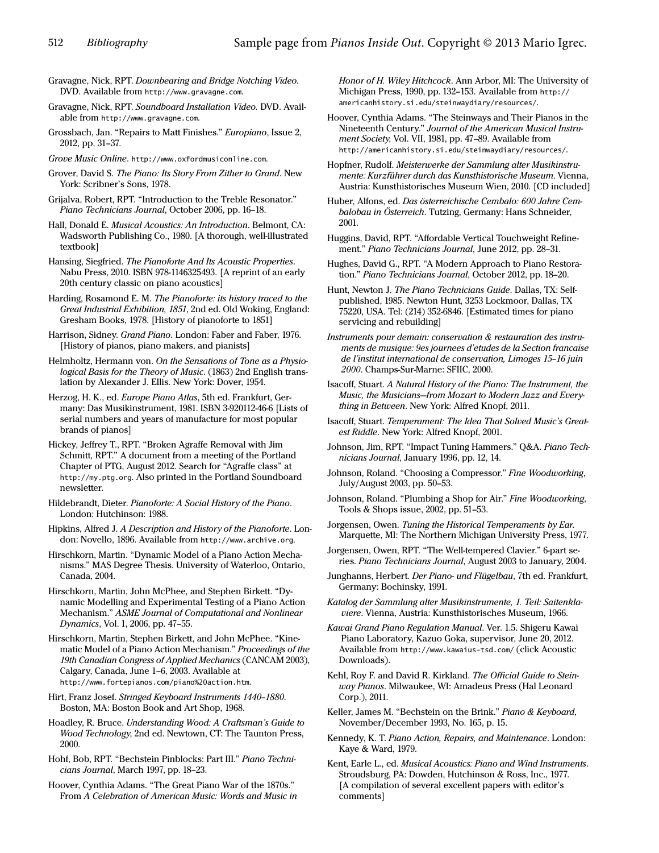- Gravagne, Nick, RPT. Downbearing and Bridge Notching Video. DVD. Available from http://www.gravagne.com.
- Gravagne, Nick, RPT. Soundboard Installation Video. DVD. Available from http://www.gravagne.com.
- Grossbach, Jan. "Repairs to Matt Finishes." Europiano, Issue 2, 2012, pp. 31–37.
- Grove Music Online. http://www.oxfordmusiconline.com.
- Grover, David S. The Piano: Its Story From Zither to Grand. New York: Scribner's Sons, 1978.
- Grijalva, Robert, RPT. "Introduction to the Treble Resonator." Piano Technicians Journal, October 2006, pp. 16–18.
- Hall, Donald E. Musical Acoustics: An Introduction. Belmont, CA: Wadsworth Publishing Co., 1980. [A thorough, well-illustrated textbook]
- Hansing, Siegfried. The Pianoforte And Its Acoustic Properties. Nabu Press, 2010. ISBN 978-1146325493. [A reprint of an early 20th century classic on piano acoustics]
- Harding, Rosamond E. M. The Pianoforte: its history traced to the Great Industrial Exhibition, 1851, 2nd ed. Old Woking, England: Gresham Books, 1978. [History of pianoforte to 1851]
- Harrison, Sidney. Grand Piano. London: Faber and Faber, 1976. [History of pianos, piano makers, and pianists]
- Helmholtz, Hermann von. On the Sensations of Tone as a Physiological Basis for the Theory of Music. (1863) 2nd English translation by Alexander J. Ellis. New York: Dover, 1954.
- Herzog, H. K., ed. Europe Piano Atlas, 5th ed. Frankfurt, Germany: Das Musikinstrument, 1981. ISBN 3-920112-46-6 [Lists of serial numbers and years of manufacture for most popular brands of pianos]
- Hickey, Jeffrey T., RPT. "Broken Agraffe Removal with Jim Schmitt, RPT." A document from a meeting of the Portland Chapter of PTG, August 2012. Search for "Agraffe class" at http://my.ptg.org. Also printed in the Portland Soundboard newsletter.
- Hildebrandt, Dieter. Pianoforte: A Social History of the Piano. London: Hutchinson: 1988.
- Hipkins, Alfred J. A Description and History of the Pianoforte. London: Novello, 1896. Available from http://www.archive.org.
- Hirschkorn, Martin. "Dynamic Model of a Piano Action Mechanisms." MAS Degree Thesis. University of Waterloo, Ontario, Canada, 2004.
- Hirschkorn, Martin, John McPhee, and Stephen Birkett. "Dynamic Modelling and Experimental Testing of a Piano Action Mechanism." ASME Journal of Computational and Nonlinear Dynamics, Vol. 1, 2006, pp. 47–55.
- Hirschkorn, Martin, Stephen Birkett, and John McPhee. "Kinematic Model of a Piano Action Mechanism." Proceedings of the 19th Canadian Congress of Applied Mechanics (CANCAM 2003), Calgary, Canada, June 1–6, 2003. Available at http://www.fortepianos.com/piano%20action.htm.
- Hirt, Franz Josef. Stringed Keyboard Instruments 1440–1880. Boston, MA: Boston Book and Art Shop, 1968.
- Hoadley, R. Bruce. Understanding Wood: A Craftsman's Guide to Wood Technology, 2nd ed. Newtown, CT: The Taunton Press, 2000.
- Hohf, Bob, RPT. "Bechstein Pinblocks: Part III." Piano Technicians Journal, March 1997, pp. 18–23.
- Hoover, Cynthia Adams. "The Great Piano War of the 1870s." From A Celebration of American Music: Words and Music in

Honor of H. Wiley Hitchcock. Ann Arbor, MI: The University of Michigan Press, 1990, pp. 132–153. Available from http:// americanhistory.si.edu/steinwaydiary/resources/.

- Hoover, Cynthia Adams. "The Steinways and Their Pianos in the Nineteenth Century." Journal of the American Musical Instrument Society, Vol. VII, 1981, pp. 47–89. Available from http://americanhistory.si.edu/steinwaydiary/resources/.
- Hopfner, Rudolf. Meisterwerke der Sammlung alter Musikinstrumente: Kurzführer durch das Kunsthistorische Museum. Vienna, Austria: Kunsthistorisches Museum Wien, 2010. [CD included]
- Huber, Alfons, ed. Das österreichische Cembalo: 600 Jahre Cembalobau in Österreich. Tutzing, Germany: Hans Schneider, 2001.
- Huggins, David, RPT. "Affordable Vertical Touchweight Refinement." Piano Technicians Journal, June 2012, pp. 28–31.
- Hughes, David G., RPT. "A Modern Approach to Piano Restoration." Piano Technicians Journal, October 2012, pp. 18–20.
- Hunt, Newton J. The Piano Technicians Guide. Dallas, TX: Selfpublished, 1985. Newton Hunt, 3253 Lockmoor, Dallas, TX 75220, USA. Tel: (214) 352-6846. [Estimated times for piano servicing and rebuilding]
- Instruments pour demain: conservation & restauration des instruments de musique: 9es journees d'etudes de la Section francaise de l'institut international de conservation, Limoges 15–16 juin 2000. Champs-Sur-Marne: SFIIC, 2000.
- Isacoff, Stuart. A Natural History of the Piano: The Instrument, the Music, the Musicians—from Mozart to Modern Jazz and Everything in Between. New York: Alfred Knopf, 2011.
- Isacoff, Stuart. Temperament: The Idea That Solved Music's Greatest Riddle. New York: Alfred Knopf, 2001.
- Johnson, Jim, RPT. "Impact Tuning Hammers." Q&A. Piano Technicians Journal, January 1996, pp. 12, 14.
- Johnson, Roland. "Choosing a Compressor." Fine Woodworking, July/August 2003, pp. 50–53.
- Johnson, Roland. "Plumbing a Shop for Air." Fine Woodworking, Tools & Shops issue, 2002, pp. 51–53.
- Jorgensen, Owen. Tuning the Historical Temperaments by Ear. Marquette, MI: The Northern Michigan University Press, 1977.
- Jorgensen, Owen, RPT. "The Well-tempered Clavier." 6-part series. Piano Technicians Journal, August 2003 to January, 2004.
- Junghanns, Herbert. Der Piano- und Flügelbau, 7th ed. Frankfurt, Germany: Bochinsky, 1991.
- Katalog der Sammlung alter Musikinstrumente, 1. Teil: Saitenklaviere. Vienna, Austria: Kunsthistorisches Museum, 1966.
- Kawai Grand Piano Regulation Manual. Ver. 1.5. Shigeru Kawai Piano Laboratory, Kazuo Goka, supervisor, June 20, 2012. Available from http://www.kawaius-tsd.com/ (click Acoustic Downloads).
- Kehl, Roy F. and David R. Kirkland. The Official Guide to Steinway Pianos. Milwaukee, WI: Amadeus Press (Hal Leonard Corp.), 2011.
- Keller, James M. "Bechstein on the Brink." Piano & Keyboard, November/December 1993, No. 165, p. 15.
- Kennedy, K. T. Piano Action, Repairs, and Maintenance. London: Kaye & Ward, 1979.
- Kent, Earle L., ed. Musical Acoustics: Piano and Wind Instruments. Stroudsburg, PA: Dowden, Hutchinson & Ross, Inc., 1977. [A compilation of several excellent papers with editor's comments]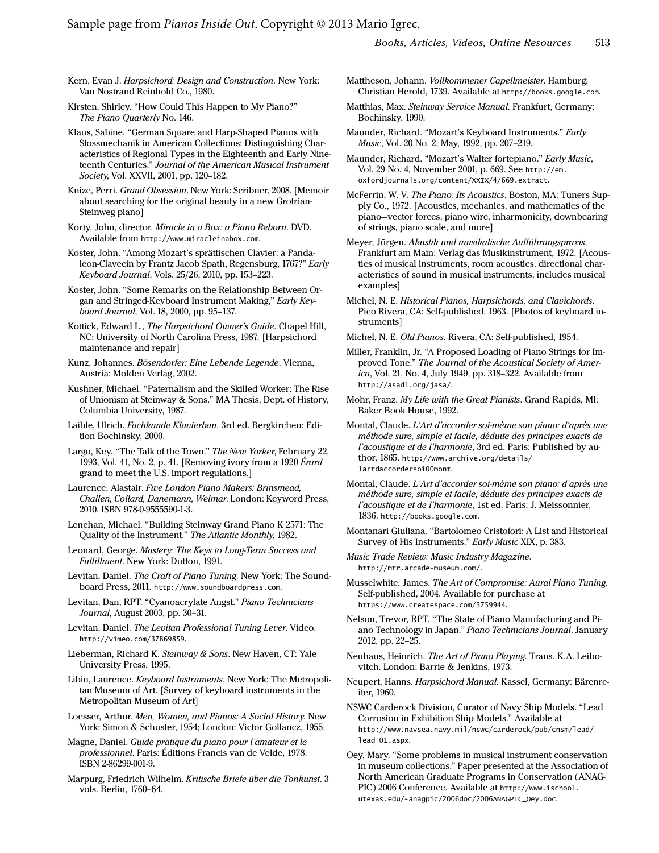- Kern, Evan J. Harpsichord: Design and Construction. New York: Van Nostrand Reinhold Co., 1980.
- Kirsten, Shirley. "How Could This Happen to My Piano?" The Piano Quarterly No. 146.
- Klaus, Sabine. "German Square and Harp-Shaped Pianos with Stossmechanik in American Collections: Distinguishing Characteristics of Regional Types in the Eighteenth and Early Nineteenth Centuries." Journal of the American Musical Instrument Society, Vol. XXVII, 2001, pp. 120–182.
- Knize, Perri. Grand Obsession. New York: Scribner, 2008. [Memoir about searching for the original beauty in a new Grotrian-Steinweg piano]
- Korty, John, director. Miracle in a Box: a Piano Reborn. DVD. Available from http://www.miracleinabox.com.
- Koster, John. "Among Mozart's sprättischen Clavier: a Pandaleon-Clavecin by Frantz Jacob Spath, Regensburg, 1767?" Early Keyboard Journal, Vols. 25/26, 2010, pp. 153–223.
- Koster, John. "Some Remarks on the Relationship Between Organ and Stringed-Keyboard Instrument Making," Early Keyboard Journal, Vol. 18, 2000, pp. 95–137.
- Kottick, Edward L., The Harpsichord Owner's Guide. Chapel Hill, NC: University of North Carolina Press, 1987. [Harpsichord maintenance and repair]
- Kunz, Johannes. Bösendorfer: Eine Lebende Legende. Vienna, Austria: Molden Verlag, 2002.
- Kushner, Michael. "Paternalism and the Skilled Worker: The Rise of Unionism at Steinway & Sons." MA Thesis, Dept. of History, Columbia University, 1987.
- Laible, Ulrich. Fachkunde Klavierbau, 3rd ed. Bergkirchen: Edition Bochinsky, 2000.
- Largo, Key. "The Talk of the Town." The New Yorker, February 22, 1993, Vol. 41, No. 2, p. 41. [Removing ivory from a 1920 Érard grand to meet the U.S. import regulations.]
- Laurence, Alastair. Five London Piano Makers: Brinsmead, Challen, Collard, Danemann, Welmar. London: Keyword Press, 2010. ISBN 978-0-9555590-1-3.
- Lenehan, Michael. "Building Steinway Grand Piano K 2571: The Quality of the Instrument." The Atlantic Monthly, 1982.
- Leonard, George. Mastery: The Keys to Long-Term Success and Fulfillment. New York: Dutton, 1991.
- Levitan, Daniel. The Craft of Piano Tuning. New York: The Soundboard Press, 2011. http://www.soundboardpress.com.
- Levitan, Dan, RPT. "Cyanoacrylate Angst." Piano Technicians Journal, August 2003, pp. 30–31.
- Levitan, Daniel. The Levitan Professional Tuning Lever. Video. http://vimeo.com/37869859.
- Lieberman, Richard K. Steinway & Sons. New Haven, CT: Yale University Press, 1995.
- Libin, Laurence. Keyboard Instruments. New York: The Metropolitan Museum of Art. [Survey of keyboard instruments in the Metropolitan Museum of Art]
- Loesser, Arthur. Men, Women, and Pianos: A Social History. New York: Simon & Schuster, 1954; London: Victor Gollancz, 1955.
- Magne, Daniel. Guide pratique du piano pour l'amateur et le professionnel. Paris: Éditions Francis van de Velde, 1978. ISBN 2-86299-001-9.
- Marpurg, Friedrich Wilhelm. Kritische Briefe über die Tonkunst. 3 vols. Berlin, 1760–64.
- Mattheson, Johann. Vollkommener Capellmeister. Hamburg: Christian Herold, 1739. Available at http://books.google.com.
- Matthias, Max. Steinway Service Manual. Frankfurt, Germany: Bochinsky, 1990.
- Maunder, Richard. "Mozart's Keyboard Instruments." Early Music, Vol. 20 No. 2, May, 1992, pp. 207–219.
- Maunder, Richard. "Mozart's Walter fortepiano." Early Music, Vol. 29 No. 4, November 2001, p. 669. See http://em. oxfordjournals.org/content/XXIX/4/669.extract.
- McFerrin, W. V. The Piano: Its Acoustics. Boston, MA: Tuners Supply Co., 1972. [Acoustics, mechanics, and mathematics of the piano—vector forces, piano wire, inharmonicity, downbearing of strings, piano scale, and more]
- Meyer, Jürgen. Akustik und musikalische Aufführungspraxis. Frankfurt am Main: Verlag das Musikinstrument, 1972. [Acoustics of musical instruments, room acoustics, directional characteristics of sound in musical instruments, includes musical examples]
- Michel, N. E. Historical Pianos, Harpsichords, and Clavichords. Pico Rivera, CA: Self-published, 1963. [Photos of keyboard instruments]
- Michel, N. E. Old Pianos. Rivera, CA: Self-published, 1954.
- Miller, Franklin, Jr. "A Proposed Loading of Piano Strings for Improved Tone." The Journal of the Acoustical Society of America, Vol. 21, No. 4, July 1949, pp. 318–322. Available from http://asadl.org/jasa/.
- Mohr, Franz. My Life with the Great Pianists. Grand Rapids, MI: Baker Book House, 1992.
- Montal, Claude. L'Art d'accorder soi-mème son piano: d'après une méthode sure, simple et facile, déduite des principes exacts de l'acoustique et de l'harmonie, 3rd ed. Paris: Published by author, 1865. http://www.archive.org/details/ lartdaccordersoi00mont.
- Montal, Claude. L'Art d'accorder soi-mème son piano: d'après une méthode sure, simple et facile, déduite des principes exacts de l'acoustique et de l'harmonie, 1st ed. Paris: J. Meissonnier, 1836. http://books.google.com.
- Montanari Giuliana. "Bartolomeo Cristofori: A List and Historical Survey of His Instruments." Early Music XIX, p. 383.
- Music Trade Review: Music Industry Magazine. http://mtr.arcade-museum.com/.
- Musselwhite, James. The Art of Compromise: Aural Piano Tuning. Self-published, 2004. Available for purchase at https://www.createspace.com/3759944.
- Nelson, Trevor, RPT. "The State of Piano Manufacturing and Piano Technology in Japan." Piano Technicians Journal, January 2012, pp. 22–25.
- Neuhaus, Heinrich. The Art of Piano Playing. Trans. K.A. Leibovitch. London: Barrie & Jenkins, 1973.
- Neupert, Hanns. Harpsichord Manual. Kassel, Germany: Bärenreiter, 1960.
- NSWC Carderock Division, Curator of Navy Ship Models. "Lead Corrosion in Exhibition Ship Models." Available at http://www.navsea.navy.mil/nswc/carderock/pub/cnsm/lead/ lead\_01.aspx.
- Oey, Mary. "Some problems in musical instrument conservation in museum collections." Paper presented at the Association of North American Graduate Programs in Conservation (ANAG-PIC) 2006 Conference. Available at http://www.ischool. utexas.edu/~anagpic/2006doc/2006ANAGPIC\_Oey.doc.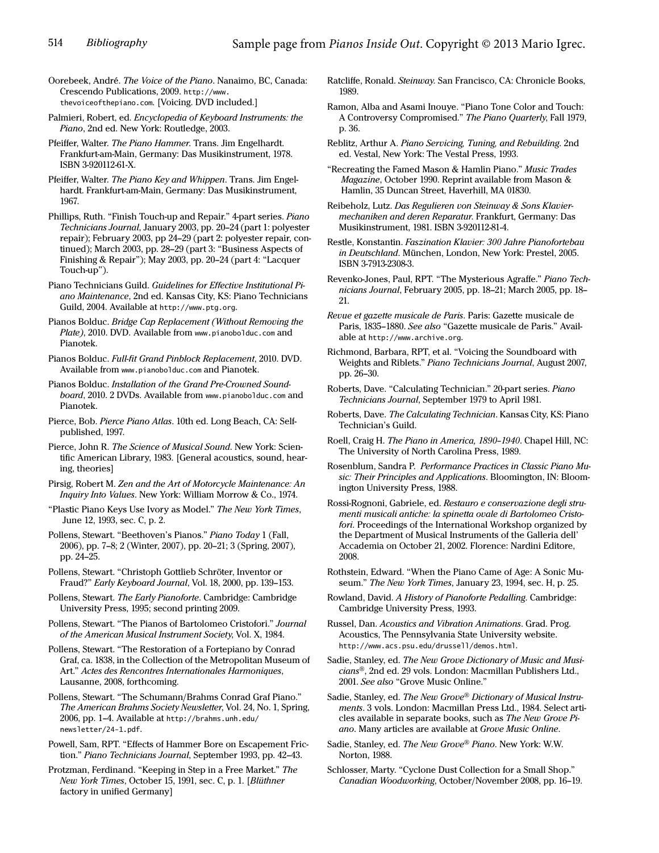Oorebeek, André. The Voice of the Piano. Nanaimo, BC, Canada: Crescendo Publications, 2009. http://www. thevoiceofthepiano.com. [Voicing. DVD included.]

Palmieri, Robert, ed. Encyclopedia of Keyboard Instruments: the Piano, 2nd ed. New York: Routledge, 2003.

Pfeiffer, Walter. The Piano Hammer. Trans. Jim Engelhardt. Frankfurt-am-Main, Germany: Das Musikinstrument, 1978. ISBN 3-920112-61-X.

Pfeiffer, Walter. The Piano Key and Whippen. Trans. Jim Engelhardt. Frankfurt-am-Main, Germany: Das Musikinstrument, 1967.

Phillips, Ruth. "Finish Touch-up and Repair." 4-part series. Piano Technicians Journal, January 2003, pp. 20–24 (part 1: polyester repair); February 2003, pp 24–29 (part 2: polyester repair, continued); March 2003, pp. 28–29 (part 3: "Business Aspects of Finishing & Repair"); May 2003, pp. 20–24 (part 4: "Lacquer Touch-up").

Piano Technicians Guild. Guidelines for Effective Institutional Piano Maintenance, 2nd ed. Kansas City, KS: Piano Technicians Guild, 2004. Available at http://www.ptg.org.

Pianos Bolduc. Bridge Cap Replacement (Without Removing the Plate), 2010. DVD. Available from www.pianobolduc.com and Pianotek.

Pianos Bolduc. Full-fit Grand Pinblock Replacement, 2010. DVD. Available from www.pianobolduc.com and Pianotek.

Pianos Bolduc. Installation of the Grand Pre-Crowned Soundboard, 2010. 2 DVDs. Available from www.pianobolduc.com and Pianotek.

Pierce, Bob. Pierce Piano Atlas. 10th ed. Long Beach, CA: Selfpublished, 1997.

Pierce, John R. The Science of Musical Sound. New York: Scientific American Library, 1983. [General acoustics, sound, hearing, theories]

Pirsig, Robert M. Zen and the Art of Motorcycle Maintenance: An Inquiry Into Values. New York: William Morrow & Co., 1974.

"Plastic Piano Keys Use Ivory as Model." The New York Times, June 12, 1993, sec. C, p. 2.

Pollens, Stewart. "Beethoven's Pianos." Piano Today 1 (Fall, 2006), pp. 7–8; 2 (Winter, 2007), pp. 20–21; 3 (Spring, 2007), pp. 24–25.

Pollens, Stewart. "Christoph Gottlieb Schröter, Inventor or Fraud?" Early Keyboard Journal, Vol. 18, 2000, pp. 139–153.

Pollens, Stewart. The Early Pianoforte. Cambridge: Cambridge University Press, 1995; second printing 2009.

Pollens, Stewart. "The Pianos of Bartolomeo Cristofori." Journal of the American Musical Instrument Society, Vol. X, 1984.

Pollens, Stewart. "The Restoration of a Fortepiano by Conrad Graf, ca. 1838, in the Collection of the Metropolitan Museum of Art." Actes des Rencontres Internationales Harmoniques, Lausanne, 2008, forthcoming.

Pollens, Stewart. "The Schumann/Brahms Conrad Graf Piano." The American Brahms Society Newsletter, Vol. 24, No. 1, Spring, 2006, pp. 1–4. Available at http://brahms.unh.edu/ newsletter/24-1.pdf.

Powell, Sam, RPT. "Effects of Hammer Bore on Escapement Friction." Piano Technicians Journal, September 1993, pp. 42–43.

Protzman, Ferdinand. "Keeping in Step in a Free Market." The New York Times, October 15, 1991, sec. C, p. 1. [Blüthner factory in unified Germany]

- Ratcliffe, Ronald. Steinway. San Francisco, CA: Chronicle Books, 1989.
- Ramon, Alba and Asami Inouye. "Piano Tone Color and Touch: A Controversy Compromised." The Piano Quarterly, Fall 1979, p. 36.
- Reblitz, Arthur A. Piano Servicing, Tuning, and Rebuilding. 2nd ed. Vestal, New York: The Vestal Press, 1993.

"Recreating the Famed Mason & Hamlin Piano." Music Trades Magazine, October 1990. Reprint available from Mason & Hamlin, 35 Duncan Street, Haverhill, MA 01830.

Reibeholz, Lutz. Das Regulieren von Steinway & Sons Klaviermechaniken and deren Reparatur. Frankfurt, Germany: Das Musikinstrument, 1981. ISBN 3-920112-81-4.

Restle, Konstantin. Faszination Klavier: 300 Jahre Pianofortebau in Deutschland. München, London, New York: Prestel, 2005. ISBN 3-7913-2308-3.

Revenko-Jones, Paul, RPT. "The Mysterious Agraffe." Piano Technicians Journal, February 2005, pp. 18–21; March 2005, pp. 18– 21.

Revue et gazette musicale de Paris. Paris: Gazette musicale de Paris, 1835–1880. See also "Gazette musicale de Paris." Available at http://www.archive.org.

Richmond, Barbara, RPT, et al. "Voicing the Soundboard with Weights and Riblets." Piano Technicians Journal, August 2007, pp. 26–30.

Roberts, Dave. "Calculating Technician." 20-part series. Piano Technicians Journal, September 1979 to April 1981.

Roberts, Dave. The Calculating Technician. Kansas City, KS: Piano Technician's Guild.

Roell, Craig H. The Piano in America, 1890–1940. Chapel Hill, NC: The University of North Carolina Press, 1989.

Rosenblum, Sandra P. Performance Practices in Classic Piano Music: Their Principles and Applications. Bloomington, IN: Bloomington University Press, 1988.

Rossi-Rognoni, Gabriele, ed. Restauro e conservazione degli strumenti musicali antiche: la spinetta ovale di Bartolomeo Cristofori. Proceedings of the International Workshop organized by the Department of Musical Instruments of the Galleria dell' Accademia on October 21, 2002. Florence: Nardini Editore, 2008.

Rothstein, Edward. "When the Piano Came of Age: A Sonic Museum." The New York Times, January 23, 1994, sec. H, p. 25.

Rowland, David. A History of Pianoforte Pedalling. Cambridge: Cambridge University Press, 1993.

Russel, Dan. Acoustics and Vibration Animations. Grad. Prog. Acoustics, The Pennsylvania State University website. http://www.acs.psu.edu/drussell/demos.html.

Sadie, Stanley, ed. The New Grove Dictionary of Music and Musicians®, 2nd ed. 29 vols. London: Macmillan Publishers Ltd., 2001. See also "Grove Music Online."

Sadie, Stanley, ed. The New Grove® Dictionary of Musical Instruments. 3 vols. London: Macmillan Press Ltd., 1984. Select articles available in separate books, such as The New Grove Piano. Many articles are available at Grove Music Online.

Sadie, Stanley, ed. The New Grove® Piano. New York: W.W. Norton, 1988.

Schlosser, Marty. "Cyclone Dust Collection for a Small Shop." Canadian Woodworking, October/November 2008, pp. 16–19.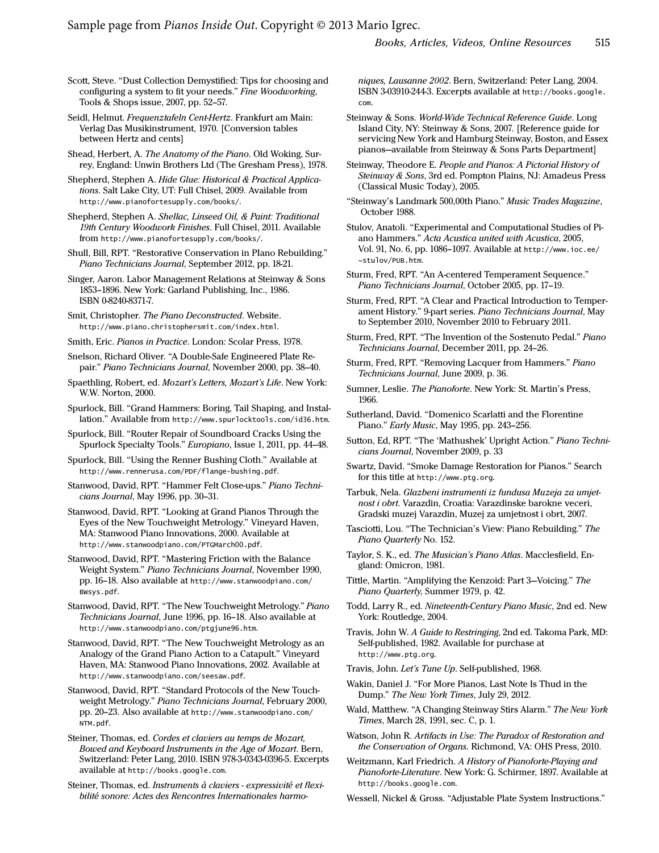Sample page from *Pianos Inside Out*. Copyright © 2013 Mario Igrec.

Scott, Steve. "Dust Collection Demystified: Tips for choosing and configuring a system to fit your needs." Fine Woodworking, Tools & Shops issue, 2007, pp. 52–57.

Seidl, Helmut. Frequenztafeln Cent-Hertz. Frankfurt am Main: Verlag Das Musikinstrument, 1970. [Conversion tables between Hertz and cents]

Shead, Herbert, A. The Anatomy of the Piano. Old Woking, Surrey, England: Unwin Brothers Ltd (The Gresham Press), 1978.

Shepherd, Stephen A. Hide Glue: Historical & Practical Applications. Salt Lake City, UT: Full Chisel, 2009. Available from http://www.pianofortesupply.com/books/.

Shepherd, Stephen A. Shellac, Linseed Oil, & Paint: Traditional 19th Century Woodwork Finishes. Full Chisel, 2011. Available from http://www.pianofortesupply.com/books/.

Shull, Bill, RPT. "Restorative Conservation in PIano Rebuilding." Piano Technicians Journal, September 2012, pp. 18-21.

Singer, Aaron. Labor Management Relations at Steinway & Sons 1853–1896. New York: Garland Publishing, Inc., 1986. ISBN 0-8240-8371-7.

Smit, Christopher. The Piano Deconstructed. Website. http://www.piano.christophersmit.com/index.html.

Smith, Eric. Pianos in Practice. London: Scolar Press, 1978.

Snelson, Richard Oliver. "A Double-Safe Engineered Plate Repair." Piano Technicians Journal, November 2000, pp. 38–40.

Spaethling, Robert, ed. Mozart's Letters, Mozart's Life. New York: W.W. Norton, 2000.

Spurlock, Bill. "Grand Hammers: Boring, Tail Shaping, and Installation." Available from http://www.spurlocktools.com/id36.htm.

Spurlock, Bill. "Router Repair of Soundboard Cracks Using the Spurlock Specialty Tools." Europiano, Issue 1, 2011, pp. 44–48.

Spurlock, Bill. "Using the Renner Bushing Cloth." Available at http://www.rennerusa.com/PDF/flange-bushing.pdf.

Stanwood, David, RPT. "Hammer Felt Close-ups." Piano Technicians Journal, May 1996, pp. 30–31.

Stanwood, David, RPT. "Looking at Grand Pianos Through the Eyes of the New Touchweight Metrology." Vineyard Haven, MA: Stanwood Piano Innovations, 2000. Available at http://www.stanwoodpiano.com/PTGMarch00.pdf.

Stanwood, David, RPT. "Mastering Friction with the Balance Weight System." Piano Technicians Journal, November 1990, pp. 16–18. Also available at http://www.stanwoodpiano.com/ BWsys.pdf.

Stanwood, David, RPT. "The New Touchweight Metrology." Piano Technicians Journal, June 1996, pp. 16–18. Also available at http://www.stanwoodpiano.com/ptgjune96.htm.

Stanwood, David, RPT. "The New Touchweight Metrology as an Analogy of the Grand Piano Action to a Catapult." Vineyard Haven, MA: Stanwood Piano Innovations, 2002. Available at http://www.stanwoodpiano.com/seesaw.pdf.

Stanwood, David, RPT. "Standard Protocols of the New Touchweight Metrology." Piano Technicians Journal, February 2000, pp. 20–23. Also available at http://www.stanwoodpiano.com/ NTM.pdf.

Steiner, Thomas, ed. Cordes et claviers au temps de Mozart, Bowed and Keyboard Instruments in the Age of Mozart. Bern, Switzerland: Peter Lang, 2010. ISBN 978-3-0343-0396-5. Excerpts available at http://books.google.com.

Steiner, Thomas, ed. Instruments à claviers - expressivité et flexibilité sonore: Actes des Rencontres Internationales harmoniques, Lausanne 2002. Bern, Switzerland: Peter Lang, 2004. ISBN 3-03910-244-3. Excerpts available at http://books.google. com.

Steinway & Sons. World-Wide Technical Reference Guide. Long Island City, NY: Steinway & Sons, 2007. [Reference guide for servicing New York and Hamburg Steinway, Boston, and Essex pianos—available from Steinway & Sons Parts Department]

Steinway, Theodore E. People and Pianos: A Pictorial History of Steinway & Sons, 3rd ed. Pompton Plains, NJ: Amadeus Press (Classical Music Today), 2005.

"Steinway's Landmark 500,00th Piano." Music Trades Magazine, October 1988.

Stulov, Anatoli. "Experimental and Computational Studies of Piano Hammers." Acta Acustica united with Acustica, 2005, Vol. 91, No. 6, pp. 1086–1097. Available at http://www.ioc.ee/ ~stulov/PUB.htm.

Sturm, Fred, RPT. "An A-centered Temperament Sequence." Piano Technicians Journal, October 2005, pp. 17–19.

Sturm, Fred, RPT. "A Clear and Practical Introduction to Temperament History." 9-part series. Piano Technicians Journal, May to September 2010, November 2010 to February 2011.

Sturm, Fred, RPT. "The Invention of the Sostenuto Pedal." Piano Technicians Journal, December 2011, pp. 24–26.

Sturm, Fred, RPT. "Removing Lacquer from Hammers." Piano Technicians Journal, June 2009, p. 36.

Sumner, Leslie. The Pianoforte. New York: St. Martin's Press, 1966.

Sutherland, David. "Domenico Scarlatti and the Florentine Piano." Early Music, May 1995, pp. 243–256.

Sutton, Ed, RPT. "The 'Mathushek' Upright Action." Piano Technicians Journal, November 2009, p. 33

Swartz, David. "Smoke Damage Restoration for Pianos." Search for this title at http://www.ptg.org.

Tarbuk, Nela. Glazbeni instrumenti iz fundusa Muzeja za umjetnost i obrt. Varazdin, Croatia: Varazdinske barokne veceri, Gradski muzej Varazdin, Muzej za umjetnost i obrt, 2007.

Tasciotti, Lou. "The Technician's View: Piano Rebuilding." The Piano Quarterly No. 152.

Taylor, S. K., ed. The Musician's Piano Atlas. Macclesfield, England: Omicron, 1981.

Tittle, Martin. "Amplifying the Kenzoid: Part 3—Voicing." The Piano Quarterly, Summer 1979, p. 42.

Todd, Larry R., ed. Nineteenth-Century Piano Music, 2nd ed. New York: Routledge, 2004.

Travis, John W. A Guide to Restringing, 2nd ed. Takoma Park, MD: Self-published, 1982. Available for purchase at http://www.ptg.org.

Travis, John. Let's Tune Up. Self-published, 1968.

Wakin, Daniel J. "For More Pianos, Last Note Is Thud in the Dump." The New York Times, July 29, 2012.

Wald, Matthew. "A Changing Steinway Stirs Alarm." The New York Times, March 28, 1991, sec. C, p. 1.

Watson, John R. Artifacts in Use: The Paradox of Restoration and the Conservation of Organs. Richmond, VA: OHS Press, 2010.

Weitzmann, Karl Friedrich. A History of Pianoforte-Playing and Pianoforte-Literature. New York: G. Schirmer, 1897. Available at http://books.google.com.

Wessell, Nickel & Gross. "Adjustable Plate System Instructions."